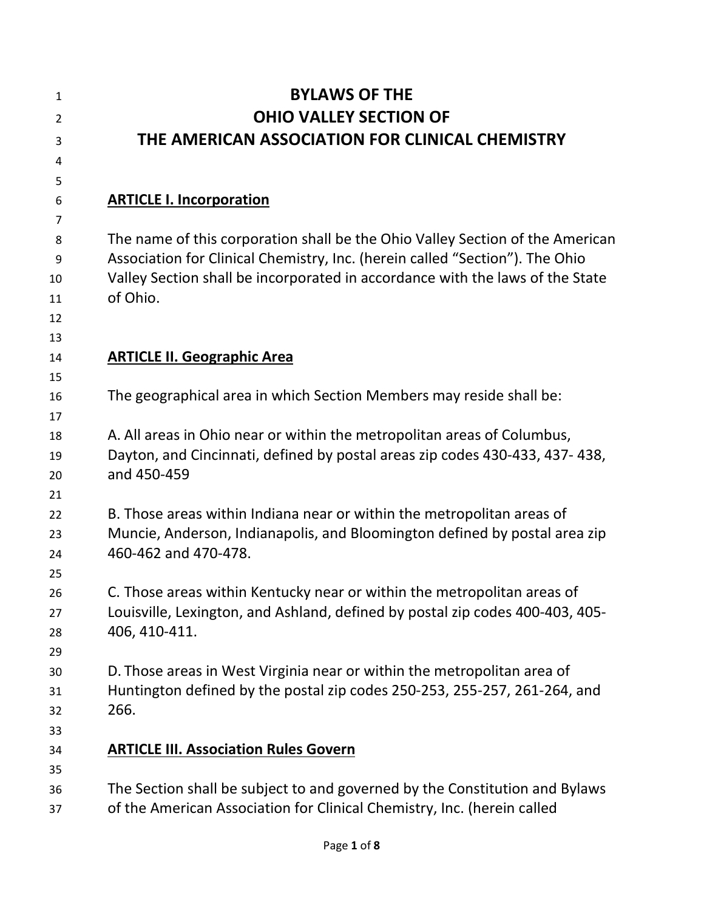| <b>BYLAWS OF THE</b>                                                                                                                                                                                                                                       |
|------------------------------------------------------------------------------------------------------------------------------------------------------------------------------------------------------------------------------------------------------------|
| <b>OHIO VALLEY SECTION OF</b>                                                                                                                                                                                                                              |
| THE AMERICAN ASSOCIATION FOR CLINICAL CHEMISTRY                                                                                                                                                                                                            |
|                                                                                                                                                                                                                                                            |
| <b>ARTICLE I. Incorporation</b>                                                                                                                                                                                                                            |
| The name of this corporation shall be the Ohio Valley Section of the American<br>Association for Clinical Chemistry, Inc. (herein called "Section"). The Ohio<br>Valley Section shall be incorporated in accordance with the laws of the State<br>of Ohio. |
| <b>ARTICLE II. Geographic Area</b>                                                                                                                                                                                                                         |
| The geographical area in which Section Members may reside shall be:                                                                                                                                                                                        |
| A. All areas in Ohio near or within the metropolitan areas of Columbus,<br>Dayton, and Cincinnati, defined by postal areas zip codes 430-433, 437- 438,<br>and 450-459                                                                                     |
| B. Those areas within Indiana near or within the metropolitan areas of<br>Muncie, Anderson, Indianapolis, and Bloomington defined by postal area zip<br>460-462 and 470-478.                                                                               |
| C. Those areas within Kentucky near or within the metropolitan areas of<br>Louisville, Lexington, and Ashland, defined by postal zip codes 400-403, 405-<br>406, 410-411.                                                                                  |
| D. Those areas in West Virginia near or within the metropolitan area of<br>Huntington defined by the postal zip codes 250-253, 255-257, 261-264, and<br>266.                                                                                               |
| <b>ARTICLE III. Association Rules Govern</b>                                                                                                                                                                                                               |
| The Section shall be subject to and governed by the Constitution and Bylaws<br>of the American Association for Clinical Chemistry, Inc. (herein called                                                                                                     |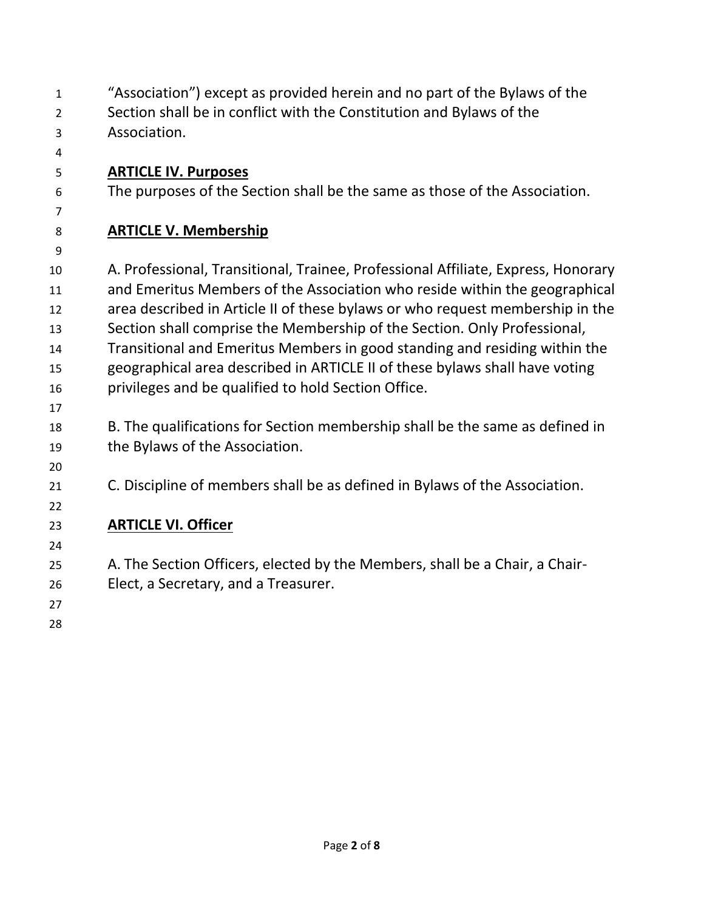| $\mathbf{1}$   | "Association") except as provided herein and no part of the Bylaws of the         |
|----------------|-----------------------------------------------------------------------------------|
| $\overline{2}$ | Section shall be in conflict with the Constitution and Bylaws of the              |
| 3              | Association.                                                                      |
| 4              |                                                                                   |
| 5              | <b>ARTICLE IV. Purposes</b>                                                       |
| 6              | The purposes of the Section shall be the same as those of the Association.        |
| 7              |                                                                                   |
| 8              | <b>ARTICLE V. Membership</b>                                                      |
| 9              |                                                                                   |
| 10             | A. Professional, Transitional, Trainee, Professional Affiliate, Express, Honorary |
| 11             | and Emeritus Members of the Association who reside within the geographical        |
| 12             | area described in Article II of these bylaws or who request membership in the     |
| 13             | Section shall comprise the Membership of the Section. Only Professional,          |
| 14             | Transitional and Emeritus Members in good standing and residing within the        |
| 15             | geographical area described in ARTICLE II of these bylaws shall have voting       |
| 16             | privileges and be qualified to hold Section Office.                               |
| 17             |                                                                                   |
| 18             | B. The qualifications for Section membership shall be the same as defined in      |
| 19             | the Bylaws of the Association.                                                    |
| 20             |                                                                                   |
| 21             | C. Discipline of members shall be as defined in Bylaws of the Association.        |
| 22             |                                                                                   |
| 23             | <b>ARTICLE VI. Officer</b>                                                        |
| 24             |                                                                                   |
| 25             | A. The Section Officers, elected by the Members, shall be a Chair, a Chair-       |
| 26             | Elect, a Secretary, and a Treasurer.                                              |
| 27             |                                                                                   |
| 28             |                                                                                   |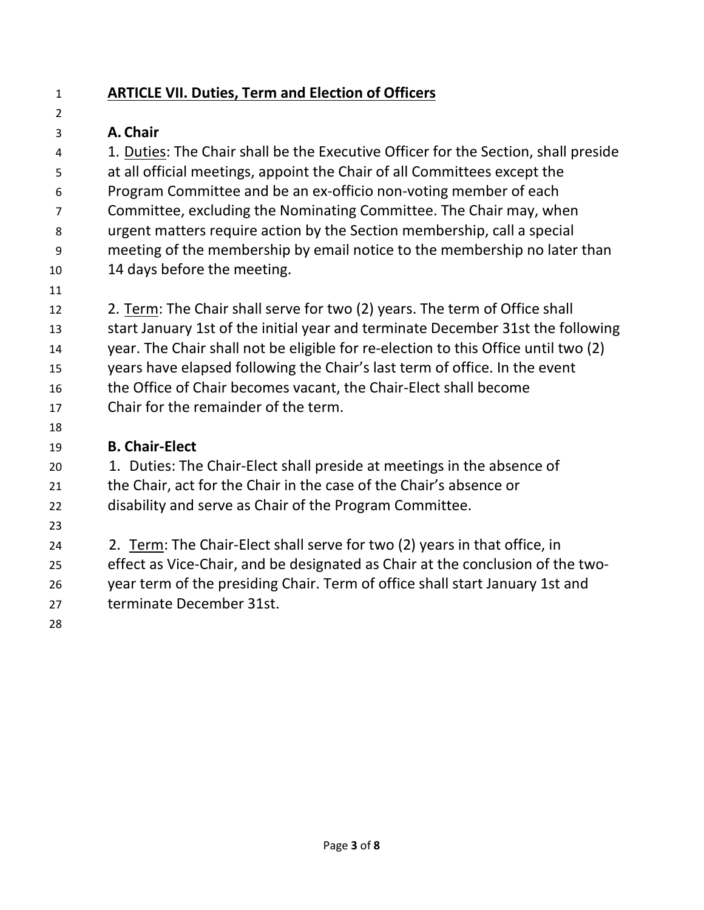$\overline{2}$ 

## **ARTICLE VII. Duties, Term and Election of Officers**

## **A. Chair**

 1. Duties: The Chair shall be the Executive Officer for the Section, shall preside at all official meetings, appoint the Chair of all Committees except the Program Committee and be an ex-officio non-voting member of each Committee, excluding the Nominating Committee. The Chair may, when urgent matters require action by the Section membership, call a special meeting of the membership by email notice to the membership no later than 14 days before the meeting.

 2. Term: The Chair shall serve for two (2) years. The term of Office shall start January 1st of the initial year and terminate December 31st the following year. The Chair shall not be eligible for re-election to this Office until two (2) years have elapsed following the Chair's last term of office. In the event the Office of Chair becomes vacant, the Chair-Elect shall become Chair for the remainder of the term.

## **B. Chair-Elect**

 1. Duties: The Chair-Elect shall preside at meetings in the absence of the Chair, act for the Chair in the case of the Chair's absence or disability and serve as Chair of the Program Committee.

 2. Term: The Chair-Elect shall serve for two (2) years in that office, in effect as Vice-Chair, and be designated as Chair at the conclusion of the two- year term of the presiding Chair. Term of office shall start January 1st and terminate December 31st.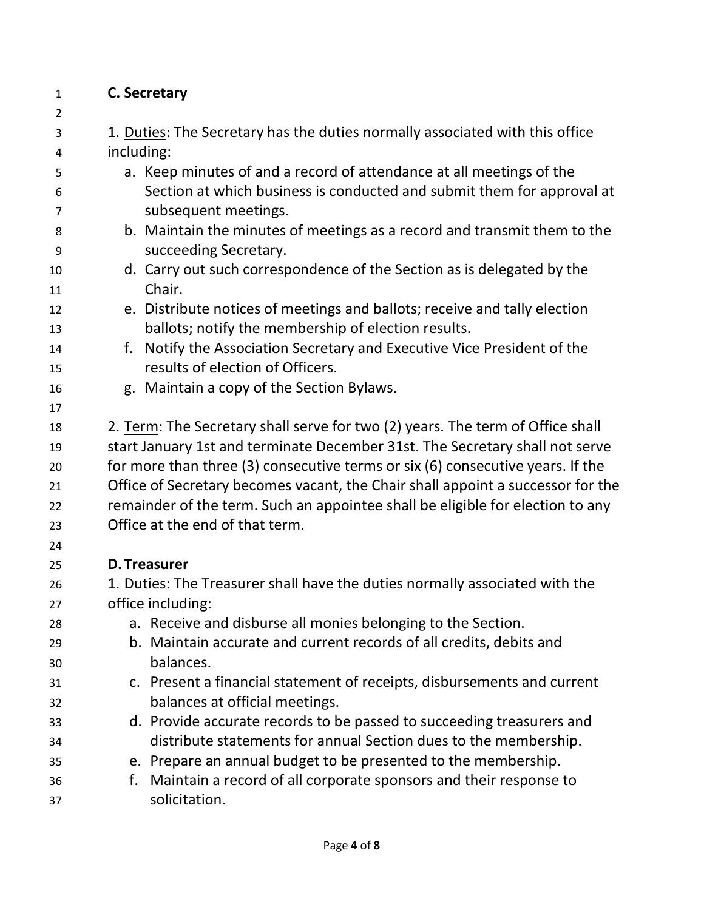## **C. Secretary**

 $\mathfrak{p}$  1. Duties: The Secretary has the duties normally associated with this office including: a. Keep minutes of and a record of attendance at all meetings of the Section at which business is conducted and submit them for approval at subsequent meetings. b. Maintain the minutes of meetings as a record and transmit them to the succeeding Secretary. d. Carry out such correspondence of the Section as is delegated by the Chair. e. Distribute notices of meetings and ballots; receive and tally election ballots; notify the membership of election results. f. Notify the Association Secretary and Executive Vice President of the results of election of Officers. g. Maintain a copy of the Section Bylaws. 2. Term: The Secretary shall serve for two (2) years. The term of Office shall start January 1st and terminate December 31st. The Secretary shall not serve for more than three (3) consecutive terms or six (6) consecutive years. If the Office of Secretary becomes vacant, the Chair shall appoint a successor for the remainder of the term. Such an appointee shall be eligible for election to any Office at the end of that term. **D. Treasurer** 1. Duties: The Treasurer shall have the duties normally associated with the office including: a. Receive and disburse all monies belonging to the Section. b. Maintain accurate and current records of all credits, debits and balances. c. Present a financial statement of receipts, disbursements and current balances at official meetings. d. Provide accurate records to be passed to succeeding treasurers and distribute statements for annual Section dues to the membership. e. Prepare an annual budget to be presented to the membership. f. Maintain a record of all corporate sponsors and their response to solicitation.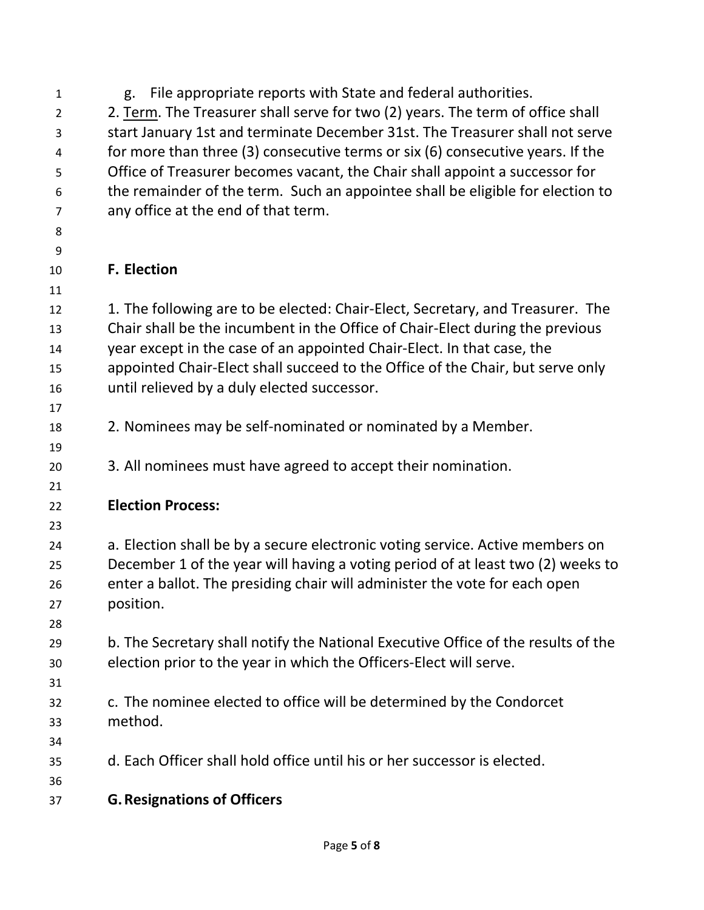| $\mathbf{1}$   | File appropriate reports with State and federal authorities.<br>g.                |
|----------------|-----------------------------------------------------------------------------------|
| $\overline{2}$ | 2. Term. The Treasurer shall serve for two (2) years. The term of office shall    |
| 3              | start January 1st and terminate December 31st. The Treasurer shall not serve      |
| 4              | for more than three (3) consecutive terms or six (6) consecutive years. If the    |
| 5              | Office of Treasurer becomes vacant, the Chair shall appoint a successor for       |
| 6              | the remainder of the term. Such an appointee shall be eligible for election to    |
| 7              | any office at the end of that term.                                               |
| 8              |                                                                                   |
| 9              |                                                                                   |
| 10             | <b>F. Election</b>                                                                |
| 11             |                                                                                   |
| 12             | 1. The following are to be elected: Chair-Elect, Secretary, and Treasurer. The    |
| 13             | Chair shall be the incumbent in the Office of Chair-Elect during the previous     |
| 14             | year except in the case of an appointed Chair-Elect. In that case, the            |
| 15             | appointed Chair-Elect shall succeed to the Office of the Chair, but serve only    |
| 16             | until relieved by a duly elected successor.                                       |
| 17             |                                                                                   |
| 18             | 2. Nominees may be self-nominated or nominated by a Member.                       |
| 19             |                                                                                   |
| 20             | 3. All nominees must have agreed to accept their nomination.                      |
| 21             |                                                                                   |
| 22             | <b>Election Process:</b>                                                          |
| 23             |                                                                                   |
| 24             | a. Election shall be by a secure electronic voting service. Active members on     |
| 25             | December 1 of the year will having a voting period of at least two (2) weeks to   |
| 26             | enter a ballot. The presiding chair will administer the vote for each open        |
| 27             | position.                                                                         |
| 28             |                                                                                   |
| 29             | b. The Secretary shall notify the National Executive Office of the results of the |
| 30             | election prior to the year in which the Officers-Elect will serve.                |
| 31             |                                                                                   |
| 32             | c. The nominee elected to office will be determined by the Condorcet              |
| 33             | method.                                                                           |
| 34             |                                                                                   |
| 35             | d. Each Officer shall hold office until his or her successor is elected.          |
| 36             |                                                                                   |
| 37             | <b>G. Resignations of Officers</b>                                                |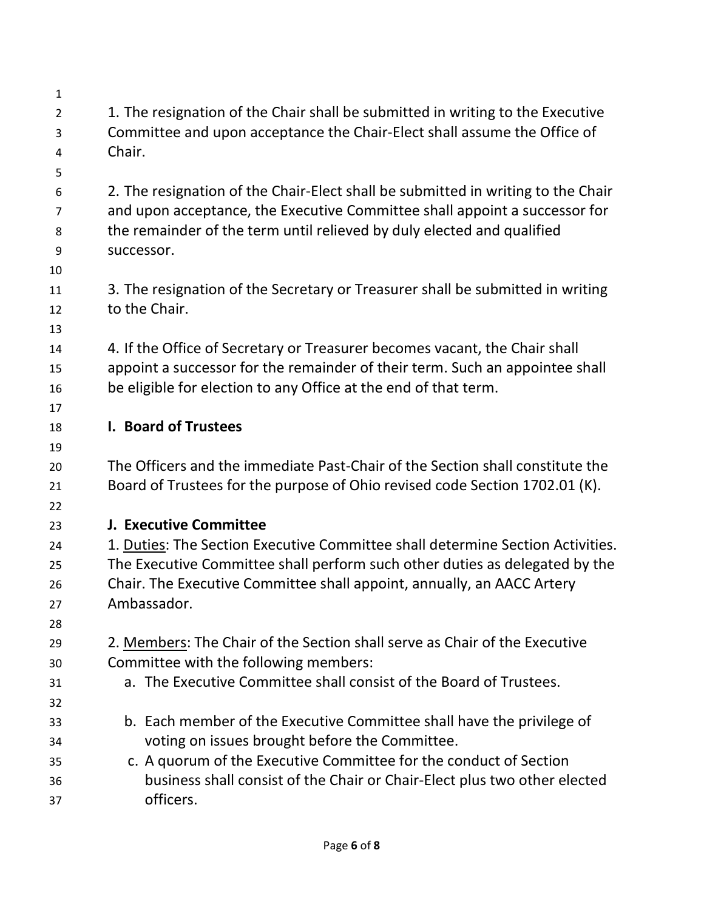| $\mathbf{1}$   |                                                                                  |
|----------------|----------------------------------------------------------------------------------|
| $\overline{2}$ | 1. The resignation of the Chair shall be submitted in writing to the Executive   |
| 3              | Committee and upon acceptance the Chair-Elect shall assume the Office of         |
| 4              | Chair.                                                                           |
| 5              |                                                                                  |
| 6              | 2. The resignation of the Chair-Elect shall be submitted in writing to the Chair |
| 7              | and upon acceptance, the Executive Committee shall appoint a successor for       |
| 8              | the remainder of the term until relieved by duly elected and qualified           |
| 9              | successor.                                                                       |
| 10             |                                                                                  |
| 11             | 3. The resignation of the Secretary or Treasurer shall be submitted in writing   |
| 12             | to the Chair.                                                                    |
| 13             |                                                                                  |
| 14             | 4. If the Office of Secretary or Treasurer becomes vacant, the Chair shall       |
| 15             | appoint a successor for the remainder of their term. Such an appointee shall     |
| 16             | be eligible for election to any Office at the end of that term.                  |
| 17<br>18       | I. Board of Trustees                                                             |
| 19             |                                                                                  |
| 20             | The Officers and the immediate Past-Chair of the Section shall constitute the    |
| 21             | Board of Trustees for the purpose of Ohio revised code Section 1702.01 (K).      |
| 22             |                                                                                  |
| 23             | <b>J. Executive Committee</b>                                                    |
| 24             | 1. Duties: The Section Executive Committee shall determine Section Activities.   |
| 25             | The Executive Committee shall perform such other duties as delegated by the      |
| 26             | Chair. The Executive Committee shall appoint, annually, an AACC Artery           |
| 27             | Ambassador.                                                                      |
| 28             |                                                                                  |
| 29             | 2. Members: The Chair of the Section shall serve as Chair of the Executive       |
| 30             | Committee with the following members:                                            |
| 31             | a. The Executive Committee shall consist of the Board of Trustees.               |
| 32             |                                                                                  |
| 33             | b. Each member of the Executive Committee shall have the privilege of            |
| 34             | voting on issues brought before the Committee.                                   |
| 35             | c. A quorum of the Executive Committee for the conduct of Section                |
| 36             | business shall consist of the Chair or Chair-Elect plus two other elected        |
| 37             | officers.                                                                        |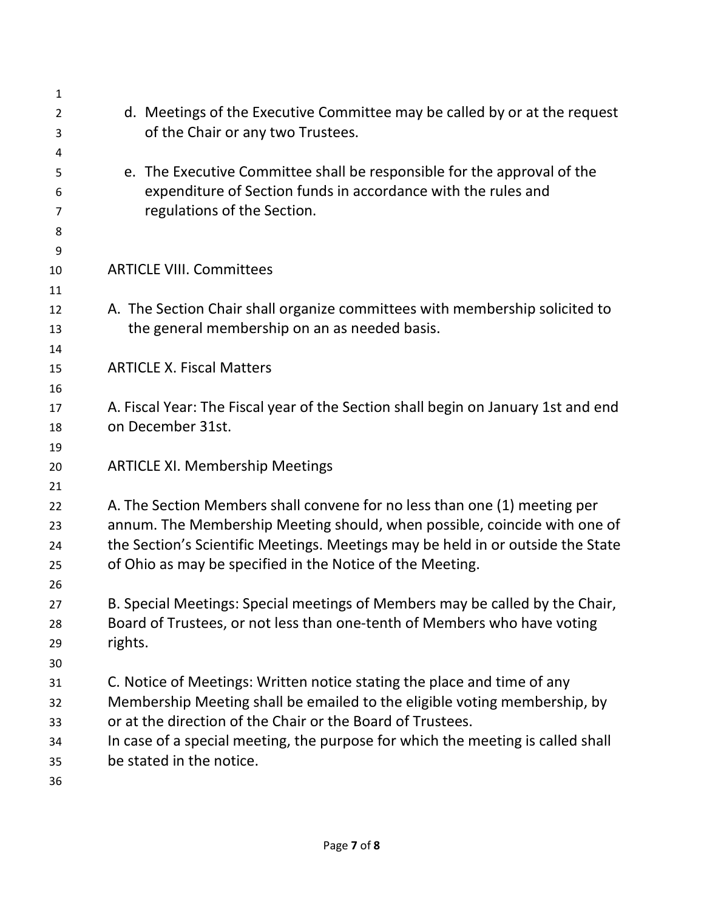| $\mathbf{1}$   |                                                                                                                                                              |
|----------------|--------------------------------------------------------------------------------------------------------------------------------------------------------------|
| 2              | d. Meetings of the Executive Committee may be called by or at the request                                                                                    |
| 3              | of the Chair or any two Trustees.                                                                                                                            |
| 4              |                                                                                                                                                              |
| 5              | e. The Executive Committee shall be responsible for the approval of the                                                                                      |
| 6              | expenditure of Section funds in accordance with the rules and                                                                                                |
| $\overline{7}$ | regulations of the Section.                                                                                                                                  |
| 8              |                                                                                                                                                              |
| 9              |                                                                                                                                                              |
| 10             | <b>ARTICLE VIII. Committees</b>                                                                                                                              |
| 11             |                                                                                                                                                              |
| 12             | A. The Section Chair shall organize committees with membership solicited to                                                                                  |
| 13             | the general membership on an as needed basis.                                                                                                                |
| 14             |                                                                                                                                                              |
| 15             | <b>ARTICLE X. Fiscal Matters</b>                                                                                                                             |
| 16             |                                                                                                                                                              |
| 17             | A. Fiscal Year: The Fiscal year of the Section shall begin on January 1st and end                                                                            |
| 18             | on December 31st.                                                                                                                                            |
| 19             |                                                                                                                                                              |
| 20             | <b>ARTICLE XI. Membership Meetings</b>                                                                                                                       |
| 21             |                                                                                                                                                              |
| 22             | A. The Section Members shall convene for no less than one (1) meeting per                                                                                    |
| 23<br>24       | annum. The Membership Meeting should, when possible, coincide with one of<br>the Section's Scientific Meetings. Meetings may be held in or outside the State |
| 25             | of Ohio as may be specified in the Notice of the Meeting.                                                                                                    |
| 26             |                                                                                                                                                              |
| 27             | B. Special Meetings: Special meetings of Members may be called by the Chair,                                                                                 |
| 28             | Board of Trustees, or not less than one-tenth of Members who have voting                                                                                     |
| 29             | rights.                                                                                                                                                      |
| 30             |                                                                                                                                                              |
| 31             | C. Notice of Meetings: Written notice stating the place and time of any                                                                                      |
| 32             | Membership Meeting shall be emailed to the eligible voting membership, by                                                                                    |
| 33             | or at the direction of the Chair or the Board of Trustees.                                                                                                   |
| 34             | In case of a special meeting, the purpose for which the meeting is called shall                                                                              |
| 35             | be stated in the notice.                                                                                                                                     |
| 36             |                                                                                                                                                              |
|                |                                                                                                                                                              |